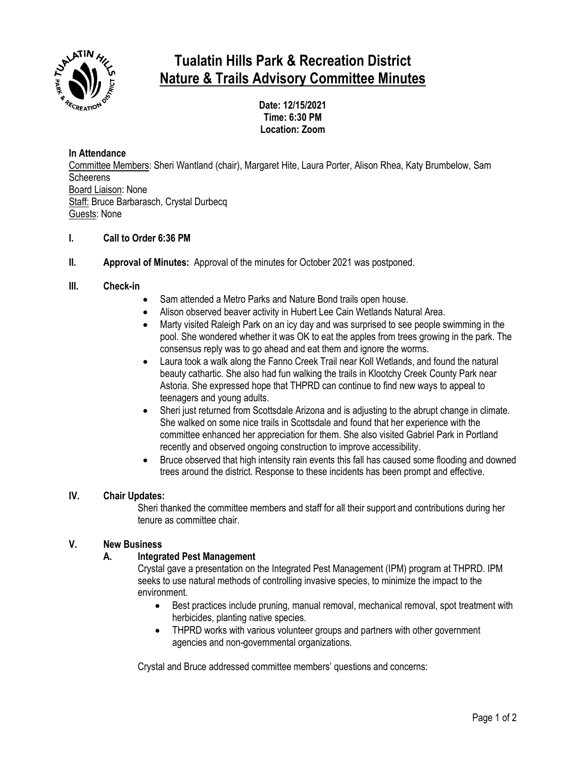

# **Tualatin Hills Park & Recreation District Nature & Trails Advisory Committee Minutes**

**Date: 12/15/2021 Time: 6:30 PM Location: Zoom**

# **In Attendance**

Committee Members: Sheri Wantland (chair), Margaret Hite, Laura Porter, Alison Rhea, Katy Brumbelow, Sam **Scheerens** Board Liaison: None Staff: Bruce Barbarasch, Crystal Durbecq Guests: None

# **I. Call to Order 6:36 PM**

**II. Approval of Minutes:** Approval of the minutes for October 2021 was postponed.

## **III. Check-in**

- Sam attended a Metro Parks and Nature Bond trails open house.
- Alison observed beaver activity in Hubert Lee Cain Wetlands Natural Area.
- Marty visited Raleigh Park on an icy day and was surprised to see people swimming in the pool. She wondered whether it was OK to eat the apples from trees growing in the park. The consensus reply was to go ahead and eat them and ignore the worms.
- Laura took a walk along the Fanno Creek Trail near Koll Wetlands, and found the natural beauty cathartic. She also had fun walking the trails in Klootchy Creek County Park near Astoria. She expressed hope that THPRD can continue to find new ways to appeal to teenagers and young adults.
- Sheri just returned from Scottsdale Arizona and is adjusting to the abrupt change in climate. She walked on some nice trails in Scottsdale and found that her experience with the committee enhanced her appreciation for them. She also visited Gabriel Park in Portland recently and observed ongoing construction to improve accessibility.
- Bruce observed that high intensity rain events this fall has caused some flooding and downed trees around the district. Response to these incidents has been prompt and effective.

## **IV. Chair Updates:**

Sheri thanked the committee members and staff for all their support and contributions during her tenure as committee chair.

#### **V. New Business**

# **A. Integrated Pest Management**

Crystal gave a presentation on the Integrated Pest Management (IPM) program at THPRD. IPM seeks to use natural methods of controlling invasive species, to minimize the impact to the environment.

- Best practices include pruning, manual removal, mechanical removal, spot treatment with herbicides, planting native species.
- THPRD works with various volunteer groups and partners with other government agencies and non-governmental organizations.

Crystal and Bruce addressed committee members' questions and concerns: